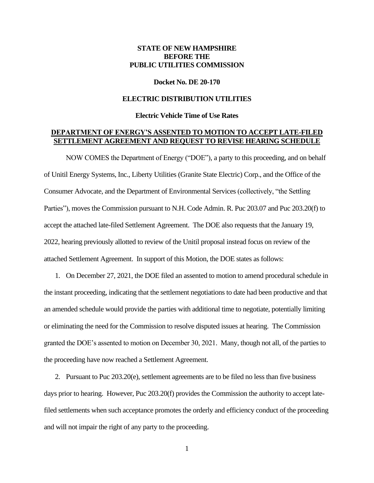# **STATE OF NEW HAMPSHIRE BEFORE THE PUBLIC UTILITIES COMMISSION**

#### **Docket No. DE 20-170**

## **ELECTRIC DISTRIBUTION UTILITIES**

### **Electric Vehicle Time of Use Rates**

# **DEPARTMENT OF ENERGY'S ASSENTED TO MOTION TO ACCEPT LATE-FILED SETTLEMENT AGREEMENT AND REQUEST TO REVISE HEARING SCHEDULE**

NOW COMES the Department of Energy ("DOE"), a party to this proceeding, and on behalf of Unitil Energy Systems, Inc., Liberty Utilities (Granite State Electric) Corp., and the Office of the Consumer Advocate, and the Department of Environmental Services (collectively, "the Settling Parties"), moves the Commission pursuant to N.H. Code Admin. R. Puc 203.07 and Puc 203.20(f) to accept the attached late-filed Settlement Agreement. The DOE also requests that the January 19, 2022, hearing previously allotted to review of the Unitil proposal instead focus on review of the attached Settlement Agreement. In support of this Motion, the DOE states as follows:

1. On December 27, 2021, the DOE filed an assented to motion to amend procedural schedule in the instant proceeding, indicating that the settlement negotiations to date had been productive and that an amended schedule would provide the parties with additional time to negotiate, potentially limiting or eliminating the need for the Commission to resolve disputed issues at hearing. The Commission granted the DOE's assented to motion on December 30, 2021. Many, though not all, of the parties to the proceeding have now reached a Settlement Agreement.

2. Pursuant to Puc 203.20(e), settlement agreements are to be filed no less than five business days prior to hearing. However, Puc 203.20(f) provides the Commission the authority to accept latefiled settlements when such acceptance promotes the orderly and efficiency conduct of the proceeding and will not impair the right of any party to the proceeding.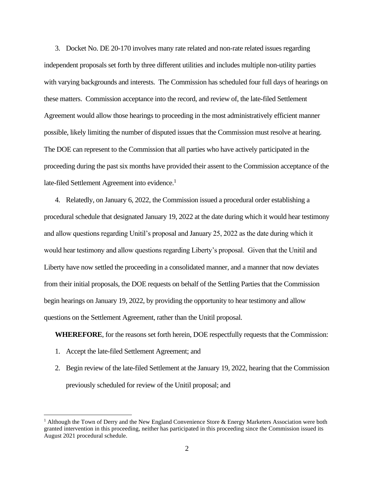3. Docket No. DE 20-170 involves many rate related and non-rate related issues regarding independent proposals set forth by three different utilities and includes multiple non-utility parties with varying backgrounds and interests. The Commission has scheduled four full days of hearings on these matters. Commission acceptance into the record, and review of, the late-filed Settlement Agreement would allow those hearings to proceeding in the most administratively efficient manner possible, likely limiting the number of disputed issues that the Commission must resolve at hearing. The DOE can represent to the Commission that all parties who have actively participated in the proceeding during the past six months have provided their assent to the Commission acceptance of the late-filed Settlement Agreement into evidence.<sup>1</sup>

4. Relatedly, on January 6, 2022, the Commission issued a procedural order establishing a procedural schedule that designated January 19, 2022 at the date during which it would hear testimony and allow questions regarding Unitil's proposal and January 25, 2022 as the date during which it would hear testimony and allow questions regarding Liberty's proposal. Given that the Unitil and Liberty have now settled the proceeding in a consolidated manner, and a manner that now deviates from their initial proposals, the DOE requests on behalf of the Settling Parties that the Commission begin hearings on January 19, 2022, by providing the opportunity to hear testimony and allow questions on the Settlement Agreement, rather than the Unitil proposal.

**WHEREFORE**, for the reasons set forth herein, DOE respectfully requests that the Commission:

- 1. Accept the late-filed Settlement Agreement; and
- 2. Begin review of the late-filed Settlement at the January 19, 2022, hearing that the Commission previously scheduled for review of the Unitil proposal; and

<sup>&</sup>lt;sup>1</sup> Although the Town of Derry and the New England Convenience Store  $\&$  Energy Marketers Association were both granted intervention in this proceeding, neither has participated in this proceeding since the Commission issued its August 2021 procedural schedule.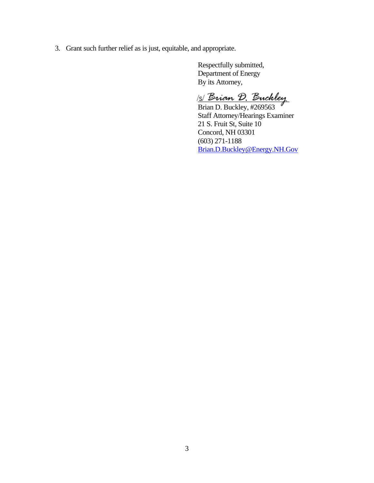3. Grant such further relief as is just, equitable, and appropriate.

Respectfully submitted, Department of Energy By its Attorney,

s *Brian D. Buckley* 

Brian D. Buckley, #269563 Staff Attorney/Hearings Examiner 21 S. Fruit St, Suite 10 Concord, NH 03301 (603) 271-1188 [Brian.D.Buckley@Energy.NH.Gov](mailto:Brian.D.Buckley@Energy.NH.Gov)